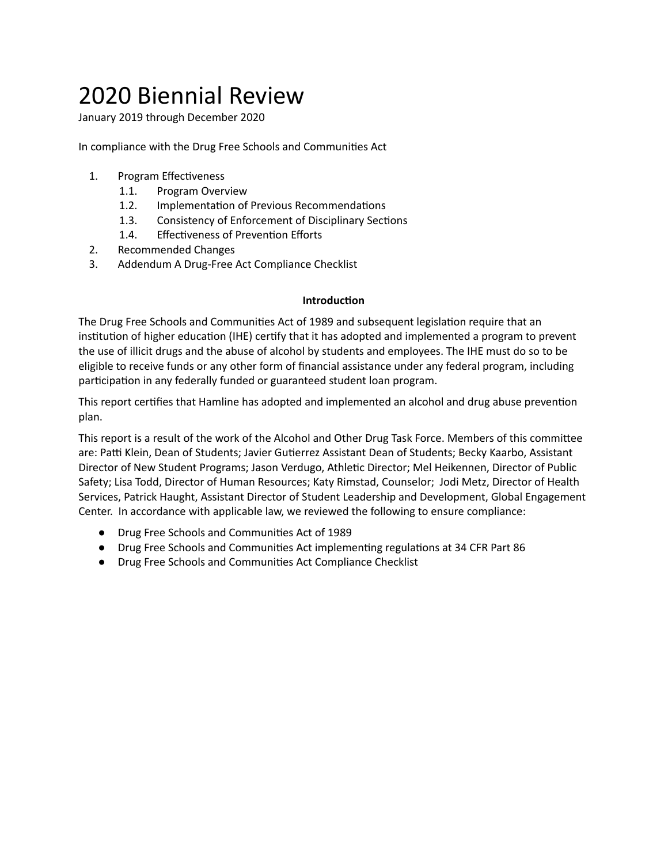# 2020 Biennial Review

January 2019 through December 2020

In compliance with the Drug Free Schools and Communities Act

- 1. Program Effectiveness
	- 1.1. Program Overview
	- 1.2. Implementation of Previous Recommendations
	- 1.3. Consistency of Enforcement of Disciplinary Sections
	- 1.4. Effectiveness of Prevention Efforts
- 2. Recommended Changes
- 3. Addendum A Drug-Free Act Compliance Checklist

#### **Introduction**

The Drug Free Schools and Communities Act of 1989 and subsequent legislation require that an institution of higher education (IHE) certify that it has adopted and implemented a program to prevent the use of illicit drugs and the abuse of alcohol by students and employees. The IHE must do so to be eligible to receive funds or any other form of financial assistance under any federal program, including participation in any federally funded or guaranteed student loan program.

This report certifies that Hamline has adopted and implemented an alcohol and drug abuse prevention plan.

This report is a result of the work of the Alcohol and Other Drug Task Force. Members of this committee are: Patti Klein, Dean of Students; Javier Gutierrez Assistant Dean of Students; Becky Kaarbo, Assistant Director of New Student Programs; Jason Verdugo, Athletic Director; Mel Heikennen, Director of Public Safety; Lisa Todd, Director of Human Resources; Katy Rimstad, Counselor; Jodi Metz, Director of Health Services, Patrick Haught, Assistant Director of Student Leadership and Development, Global Engagement Center. In accordance with applicable law, we reviewed the following to ensure compliance:

- Drug Free Schools and Communies Act of 1989
- Drug Free Schools and Communities Act implementing regulations at 34 CFR Part 86
- Drug Free Schools and Communies Act Compliance Checklist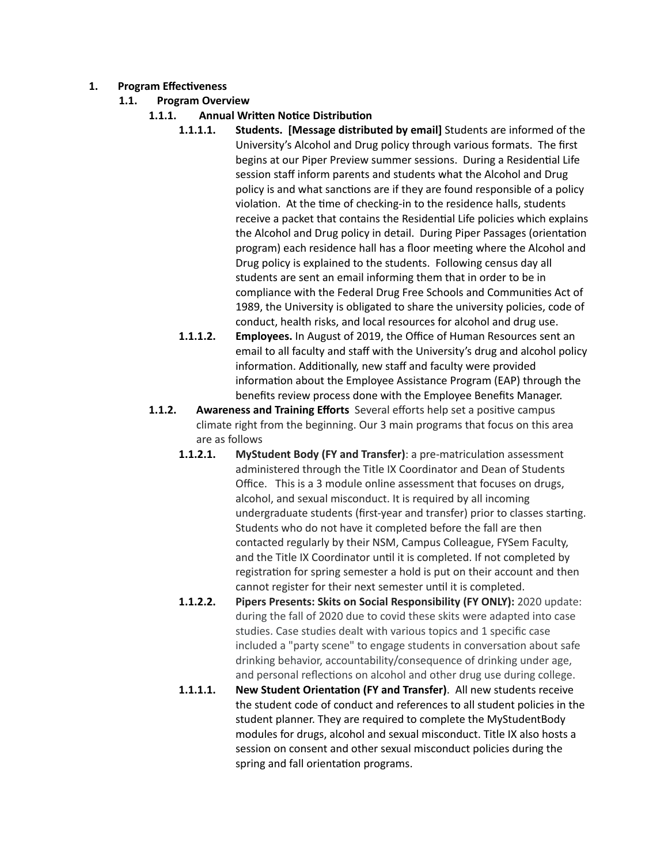- **1.** Program **Effectiveness** 
	- **1.1. Program Overview**
		- **1.1.1.** Annual Written Notice Distribution
			- **1.1.1.1. Students. [Message distributed by email]** Students are informed of the University's Alcohol and Drug policy through various formats. The first begins at our Piper Preview summer sessions. During a Residential Life session staff inform parents and students what the Alcohol and Drug policy is and what sanctions are if they are found responsible of a policy violation. At the time of checking-in to the residence halls, students receive a packet that contains the Residential Life policies which explains the Alcohol and Drug policy in detail. During Piper Passages (orientation program) each residence hall has a floor meeting where the Alcohol and Drug policy is explained to the students. Following census day all students are sent an email informing them that in order to be in compliance with the Federal Drug Free Schools and Communities Act of 1989, the University is obligated to share the university policies, code of conduct, health risks, and local resources for alcohol and drug use.
			- **1.1.1.2. Employees.** In August of 2019, the Office of Human Resources sent an email to all faculty and staff with the University's drug and alcohol policy information. Additionally, new staff and faculty were provided information about the Employee Assistance Program (EAP) through the benefits review process done with the Employee Benefits Manager.
		- **1.1.2. Awareness and Training Efforts** Several efforts help set a positive campus climate right from the beginning. Our 3 main programs that focus on this area are as follows
			- **1.1.2.1. MyStudent Body (FY and Transfer)**: a pre-matriculation assessment administered through the Title IX Coordinator and Dean of Students Office. This is a 3 module online assessment that focuses on drugs, alcohol, and sexual misconduct. It is required by all incoming undergraduate students (first-year and transfer) prior to classes starting. Students who do not have it completed before the fall are then contacted regularly by their NSM, Campus Colleague, FYSem Faculty, and the Title IX Coordinator until it is completed. If not completed by registration for spring semester a hold is put on their account and then cannot register for their next semester until it is completed.
			- **1.1.2.2. Pipers Presents: Skits on Social Responsibility (FY ONLY):** 2020 update: during the fall of 2020 due to covid these skits were adapted into case studies. Case studies dealt with various topics and 1 specific case included a "party scene" to engage students in conversation about safe drinking behavior, accountability/consequence of drinking under age, and personal reflections on alcohol and other drug use during college.
			- **1.1.1.1.** New Student Orientation (FY and Transfer). All new students receive the student code of conduct and references to all student policies in the student planner. They are required to complete the MyStudentBody modules for drugs, alcohol and sexual misconduct. Title IX also hosts a session on consent and other sexual misconduct policies during the spring and fall orientation programs.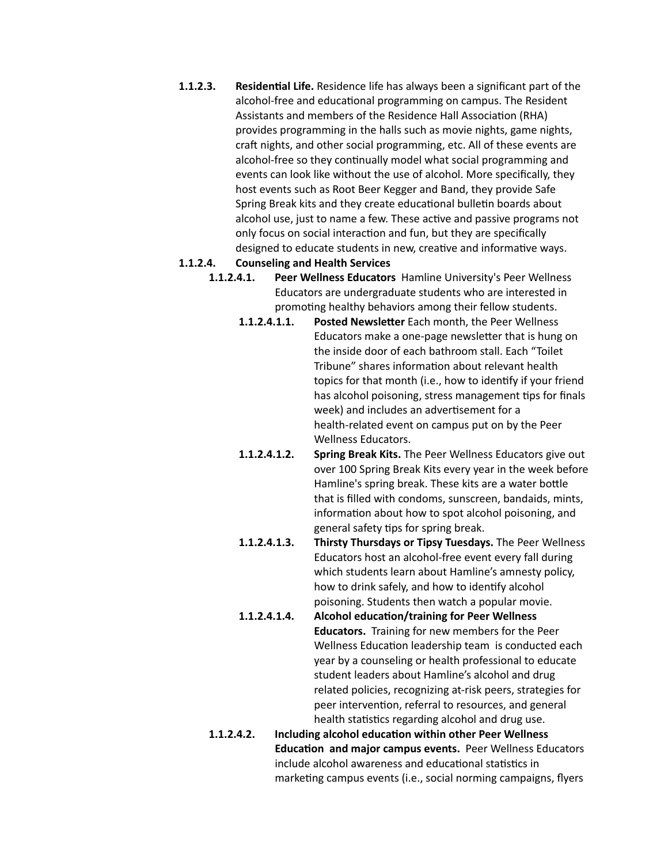**1.1.2.3. Residential Life.** Residence life has always been a significant part of the alcohol-free and educational programming on campus. The Resident Assistants and members of the Residence Hall Association (RHA) provides programming in the halls such as movie nights, game nights, craft nights, and other social programming, etc. All of these events are alcohol-free so they continually model what social programming and events can look like without the use of alcohol. More specifically, they host events such as Root Beer Kegger and Band, they provide Safe Spring Break kits and they create educational bulletin boards about alcohol use, just to name a few. These active and passive programs not only focus on social interaction and fun, but they are specifically designed to educate students in new, creative and informative ways.

#### **1.1.2.4. Counseling and Health Services**

- **1.1.2.4.1. Peer Wellness Educators** Hamline University's Peer Wellness Educators are undergraduate students who are interested in promoting healthy behaviors among their fellow students.
	- **1.1.2.4.1.1. Posted Newsletter** Each month, the Peer Wellness Educators make a one-page newsletter that is hung on the inside door of each bathroom stall. Each "Toilet Tribune" shares information about relevant health topics for that month (i.e., how to identify if your friend has alcohol poisoning, stress management tips for finals week) and includes an advertisement for a health-related event on campus put on by the Peer Wellness Educators.
	- **1.1.2.4.1.2. Spring Break Kits.** The Peer Wellness Educators give out over 100 Spring Break Kits every year in the week before Hamline's spring break. These kits are a water bottle that is filled with condoms, sunscreen, bandaids, mints, information about how to spot alcohol poisoning, and general safety tips for spring break.
	- **1.1.2.4.1.3. Thirsty Thursdays or Tipsy Tuesdays.** The Peer Wellness Educators host an alcohol-free event every fall during which students learn about Hamline's amnesty policy, how to drink safely, and how to identify alcohol poisoning. Students then watch a popular movie.
	- 1.1.2.4.1.4. Alcohol education/training for Peer Wellness **Educators.** Training for new members for the Peer Wellness Education leadership team is conducted each year by a counseling or health professional to educate student leaders about Hamline's alcohol and drug related policies, recognizing at-risk peers, strategies for peer intervention, referral to resources, and general health statistics regarding alcohol and drug use.
- **1.1.2.4.2.** Including alcohol education within other Peer Wellness **Education and major campus events.** Peer Wellness Educators include alcohol awareness and educational statistics in marketing campus events (i.e., social norming campaigns, flyers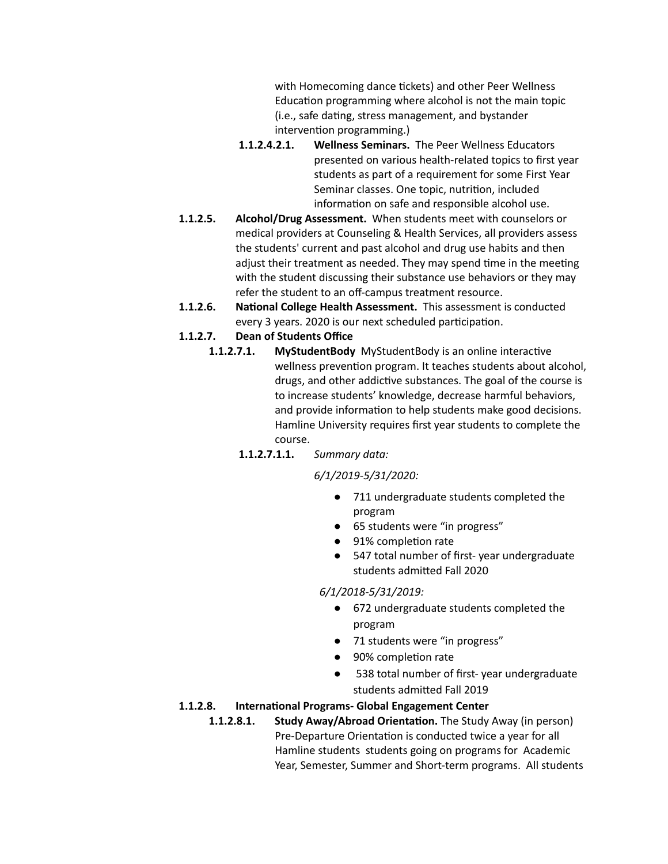with Homecoming dance tickets) and other Peer Wellness Education programming where alcohol is not the main topic (i.e., safe dating, stress management, and bystander intervention programming.)

- **1.1.2.4.2.1. Wellness Seminars.** The Peer Wellness Educators presented on various health-related topics to first year students as part of a requirement for some First Year Seminar classes. One topic, nutrition, included information on safe and responsible alcohol use.
- **1.1.2.5. Alcohol/Drug Assessment.** When students meet with counselors or medical providers at Counseling & Health Services, all providers assess the students' current and past alcohol and drug use habits and then adjust their treatment as needed. They may spend time in the meeting with the student discussing their substance use behaviors or they may refer the student to an off-campus treatment resource.
- **1.1.2.6. National College Health Assessment.** This assessment is conducted every 3 years. 2020 is our next scheduled participation.
- **1.1.2.7. Dean of Students Office**
	- **1.1.2.7.1.** MyStudentBody MyStudentBody is an online interactive wellness prevention program. It teaches students about alcohol, drugs, and other addictive substances. The goal of the course is to increase students' knowledge, decrease harmful behaviors, and provide information to help students make good decisions. Hamline University requires first year students to complete the course.

#### **1.1.2.7.1.1.** *Summary data:*

#### *6/1/2019-5/31/2020:*

- 711 undergraduate students completed the program
- 65 students were "in progress"
- 91% completion rate
- 547 total number of first-year undergraduate students admitted Fall 2020

#### *6/1/2018-5/31/2019:*

- 672 undergraduate students completed the program
- 71 students were "in progress"
- 90% completion rate
- 538 total number of first- year undergraduate students admitted Fall 2019

#### 1.1.2.8. **International Programs- Global Engagement Center**

**1.1.2.8.1.** Study Away/Abroad Orientation. The Study Away (in person) Pre-Departure Orientation is conducted twice a year for all Hamline students students going on programs for Academic Year, Semester, Summer and Short-term programs. All students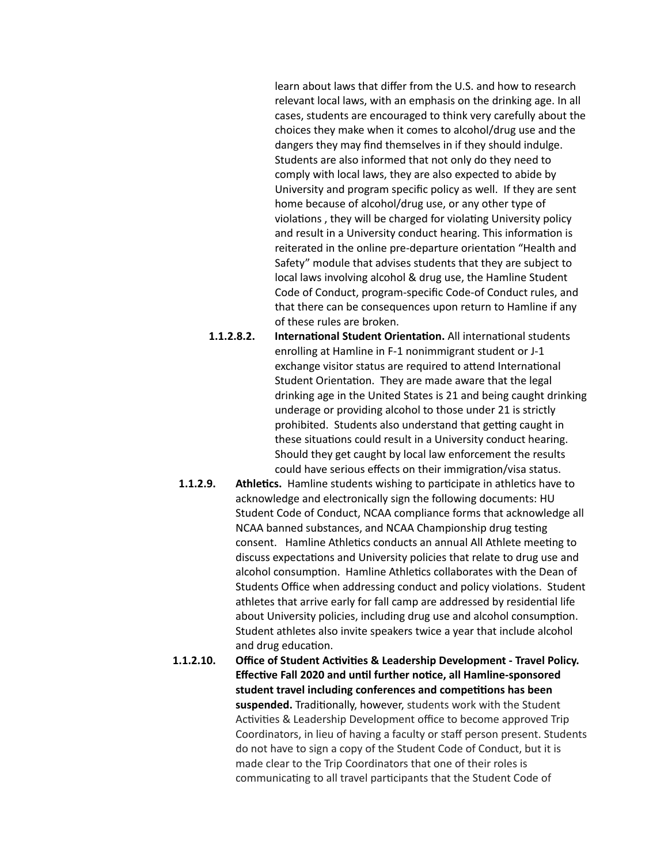learn about laws that differ from the U.S. and how to research relevant local laws, with an emphasis on the drinking age. In all cases, students are encouraged to think very carefully about the choices they make when it comes to alcohol/drug use and the dangers they may find themselves in if they should indulge. Students are also informed that not only do they need to comply with local laws, they are also expected to abide by University and program specific policy as well. If they are sent home because of alcohol/drug use, or any other type of violations, they will be charged for violating University policy and result in a University conduct hearing. This information is reiterated in the online pre-departure orientation "Health and Safety" module that advises students that they are subject to local laws involving alcohol & drug use, the Hamline Student Code of Conduct, program-specific Code-of Conduct rules, and that there can be consequences upon return to Hamline if any of these rules are broken.

- **1.1.2.8.2. International Student Orientation.** All international students enrolling at Hamline in F-1 nonimmigrant student or J-1 exchange visitor status are required to attend International Student Orientation. They are made aware that the legal drinking age in the United States is 21 and being caught drinking underage or providing alcohol to those under 21 is strictly prohibited. Students also understand that getting caught in these situations could result in a University conduct hearing. Should they get caught by local law enforcement the results could have serious effects on their immigration/visa status.
- **1.1.2.9. Athletics.** Hamline students wishing to participate in athletics have to acknowledge and electronically sign the following documents: HU Student Code of Conduct, NCAA compliance forms that acknowledge all NCAA banned substances, and NCAA Championship drug testing consent. Hamline Athletics conducts an annual All Athlete meeting to discuss expectations and University policies that relate to drug use and alcohol consumption. Hamline Athletics collaborates with the Dean of Students Office when addressing conduct and policy violations. Student athletes that arrive early for fall camp are addressed by residential life about University policies, including drug use and alcohol consumption. Student athletes also invite speakers twice a year that include alcohol and drug education.

1.1.2.10. Office of Student Activities & Leadership Development - Travel Policy. **Effective Fall 2020 and until further notice, all Hamline-sponsored student travel including conferences and competitions has been** suspended. Traditionally, however, students work with the Student Activities & Leadership Development office to become approved Trip Coordinators, in lieu of having a faculty or staff person present. Students do not have to sign a copy of the Student Code of Conduct, but it is made clear to the Trip Coordinators that one of their roles is communicating to all travel participants that the Student Code of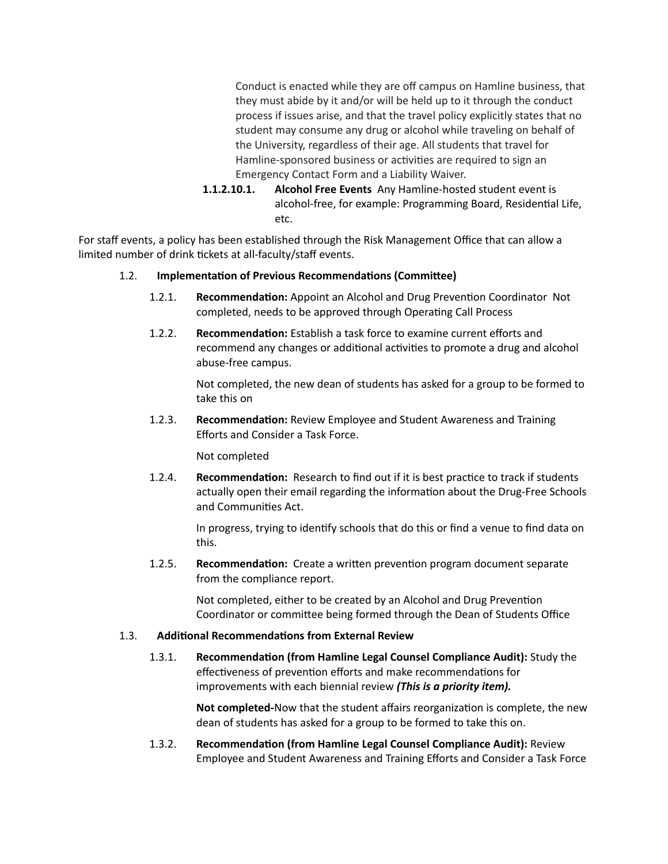Conduct is enacted while they are off campus on Hamline business, that they must abide by it and/or will be held up to it through the conduct process if issues arise, and that the travel policy explicitly states that no student may consume any drug or alcohol while traveling on behalf of the University, regardless of their age. All students that travel for Hamline-sponsored business or activities are required to sign an Emergency Contact Form and a Liability Waiver.

**1.1.2.10.1. Alcohol Free Events** Any Hamline-hosted student event is alcohol-free, for example: Programming Board, Residential Life, etc.

For staff events, a policy has been established through the Risk Management Office that can allow a limited number of drink tickets at all-faculty/staff events.

#### 1.2. **Implementation of Previous Recommendations (Committee)**

- 1.2.1. **Recommendation:** Appoint an Alcohol and Drug Prevention Coordinator Not completed, needs to be approved through Operating Call Process
- 1.2.2. **Recommendation:** Establish a task force to examine current efforts and recommend any changes or additional activities to promote a drug and alcohol abuse-free campus.

Not completed, the new dean of students has asked for a group to be formed to take this on

1.2.3. **Recommendation:** Review Employee and Student Awareness and Training Efforts and Consider a Task Force.

Not completed

1.2.4. **Recommendation:** Research to find out if it is best practice to track if students actually open their email regarding the information about the Drug-Free Schools and Communities Act.

> In progress, trying to identify schools that do this or find a venue to find data on this.

1.2.5. **Recommendation:** Create a written prevention program document separate from the compliance report.

> Not completed, either to be created by an Alcohol and Drug Prevention Coordinator or committee being formed through the Dean of Students Office

#### 1.3. **Addional Recommendaons from External Review**

**1.3.1. Recommendation (from Hamline Legal Counsel Compliance Audit): Study the** effectiveness of prevention efforts and make recommendations for improvements with each biennial review *(This is a priority item).*

> **Not completed-**Now that the student affairs reorganization is complete, the new dean of students has asked for a group to be formed to take this on.

**1.3.2. Recommendation (from Hamline Legal Counsel Compliance Audit): Review** Employee and Student Awareness and Training Efforts and Consider a Task Force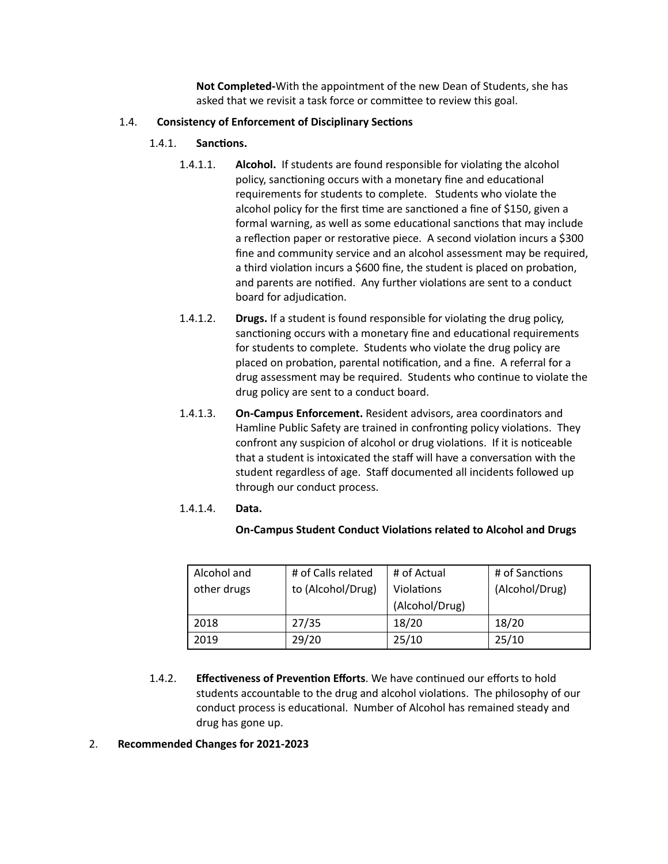**Not Completed-**With the appointment of the new Dean of Students, she has asked that we revisit a task force or committee to review this goal.

#### 1.4. **Consistency of Enforcement of Disciplinary Sections**

#### 1.4.1. **Sanctions.**

- 1.4.1.1. **Alcohol.** If students are found responsible for violating the alcohol policy, sanctioning occurs with a monetary fine and educational requirements for students to complete. Students who violate the alcohol policy for the first time are sanctioned a fine of \$150, given a formal warning, as well as some educational sanctions that may include a reflection paper or restorative piece. A second violation incurs a \$300 fine and community service and an alcohol assessment may be required, a third violation incurs a \$600 fine, the student is placed on probation, and parents are notified. Any further violations are sent to a conduct board for adjudication.
- 1.4.1.2. **Drugs.** If a student is found responsible for violating the drug policy, sanctioning occurs with a monetary fine and educational requirements for students to complete. Students who violate the drug policy are placed on probation, parental notification, and a fine. A referral for a drug assessment may be required. Students who continue to violate the drug policy are sent to a conduct board.
- 1.4.1.3. **On-Campus Enforcement.** Resident advisors, area coordinators and Hamline Public Safety are trained in confronting policy violations. They confront any suspicion of alcohol or drug violations. If it is noticeable that a student is intoxicated the staff will have a conversation with the student regardless of age. Staff documented all incidents followed up through our conduct process.

#### 1.4.1.4. **Data.**

#### **On-Campus Student Conduct Violations related to Alcohol and Drugs**

| Alcohol and | # of Calls related | # of Actual       | # of Sanctions |
|-------------|--------------------|-------------------|----------------|
| other drugs | to (Alcohol/Drug)  | <b>Violations</b> | (Alcohol/Drug) |
|             |                    | (Alcohol/Drug)    |                |
| 2018        | 27/35              | 18/20             | 18/20          |
| 2019        | 29/20              | 25/10             | 25/10          |

1.4.2. **Effectiveness of Prevention Efforts**. We have continued our efforts to hold students accountable to the drug and alcohol violations. The philosophy of our conduct process is educational. Number of Alcohol has remained steady and drug has gone up.

#### 2. **Recommended Changes for 2021-2023**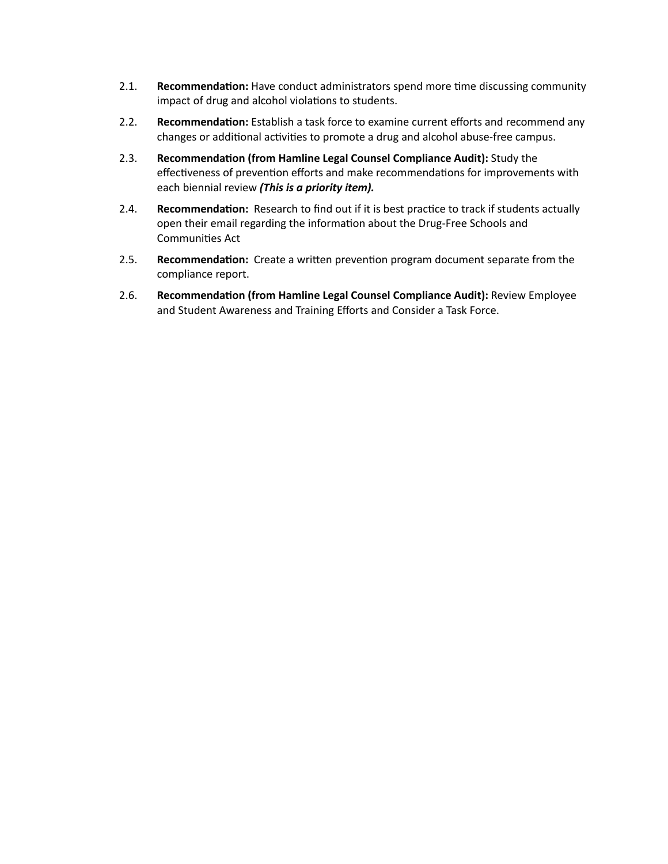- 2.1. **Recommendation:** Have conduct administrators spend more time discussing community impact of drug and alcohol violations to students.
- 2.2. **Recommendation:** Establish a task force to examine current efforts and recommend any changes or additional activities to promote a drug and alcohol abuse-free campus.
- 2.3. **Recommendation (from Hamline Legal Counsel Compliance Audit): Study the** effectiveness of prevention efforts and make recommendations for improvements with each biennial review *(This is a priority item).*
- 2.4. **Recommendation:** Research to find out if it is best practice to track if students actually open their email regarding the information about the Drug-Free Schools and Communities Act
- 2.5. **Recommendation:** Create a written prevention program document separate from the compliance report.
- 2.6. Recommendation (from Hamline Legal Counsel Compliance Audit): Review Employee and Student Awareness and Training Efforts and Consider a Task Force.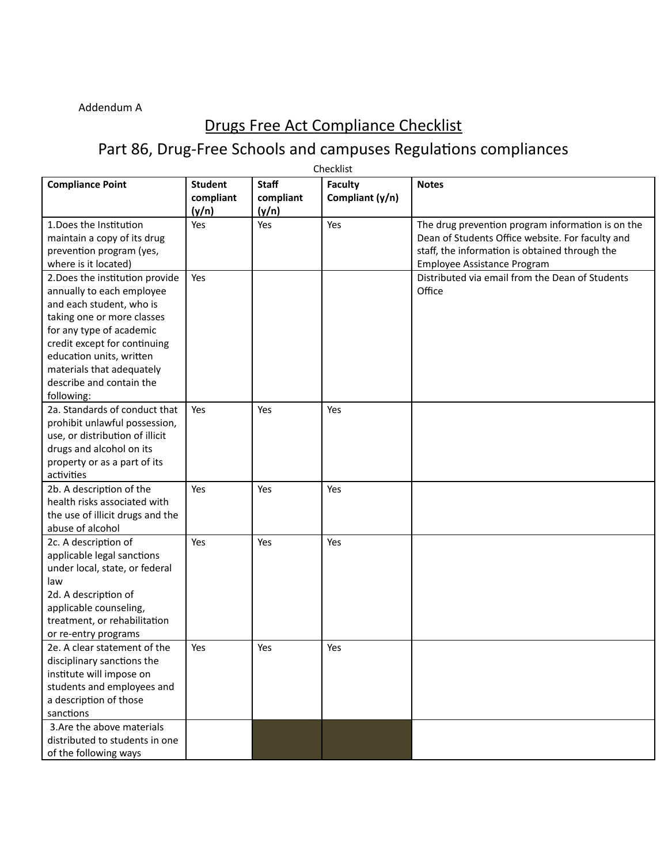#### Addendum A

### Drugs Free Act Compliance Checklist

## Part 86, Drug-Free Schools and campuses Regulations compliances

| Checklist                                                                                                                                                                                                                                                                             |                                      |                                    |                                   |                                                                                                                                                                                        |
|---------------------------------------------------------------------------------------------------------------------------------------------------------------------------------------------------------------------------------------------------------------------------------------|--------------------------------------|------------------------------------|-----------------------------------|----------------------------------------------------------------------------------------------------------------------------------------------------------------------------------------|
| <b>Compliance Point</b>                                                                                                                                                                                                                                                               | <b>Student</b><br>compliant<br>(y/n) | <b>Staff</b><br>compliant<br>(y/n) | <b>Faculty</b><br>Compliant (y/n) | <b>Notes</b>                                                                                                                                                                           |
| 1. Does the Institution<br>maintain a copy of its drug<br>prevention program (yes,<br>where is it located)                                                                                                                                                                            | Yes                                  | Yes                                | Yes                               | The drug prevention program information is on the<br>Dean of Students Office website. For faculty and<br>staff, the information is obtained through the<br>Employee Assistance Program |
| 2. Does the institution provide<br>annually to each employee<br>and each student, who is<br>taking one or more classes<br>for any type of academic<br>credit except for continuing<br>education units, written<br>materials that adequately<br>describe and contain the<br>following: | Yes                                  |                                    |                                   | Distributed via email from the Dean of Students<br>Office                                                                                                                              |
| 2a. Standards of conduct that<br>prohibit unlawful possession,<br>use, or distribution of illicit<br>drugs and alcohol on its<br>property or as a part of its<br>activities                                                                                                           | Yes                                  | Yes                                | Yes                               |                                                                                                                                                                                        |
| 2b. A description of the<br>health risks associated with<br>the use of illicit drugs and the<br>abuse of alcohol                                                                                                                                                                      | Yes                                  | Yes                                | Yes                               |                                                                                                                                                                                        |
| 2c. A description of<br>applicable legal sanctions<br>under local, state, or federal<br>law<br>2d. A description of<br>applicable counseling,<br>treatment, or rehabilitation<br>or re-entry programs                                                                                 | Yes                                  | Yes                                | Yes                               |                                                                                                                                                                                        |
| 2e. A clear statement of the<br>disciplinary sanctions the<br>institute will impose on<br>students and employees and<br>a description of those<br>sanctions<br>3. Are the above materials                                                                                             | Yes                                  | Yes                                | Yes                               |                                                                                                                                                                                        |
| distributed to students in one<br>of the following ways                                                                                                                                                                                                                               |                                      |                                    |                                   |                                                                                                                                                                                        |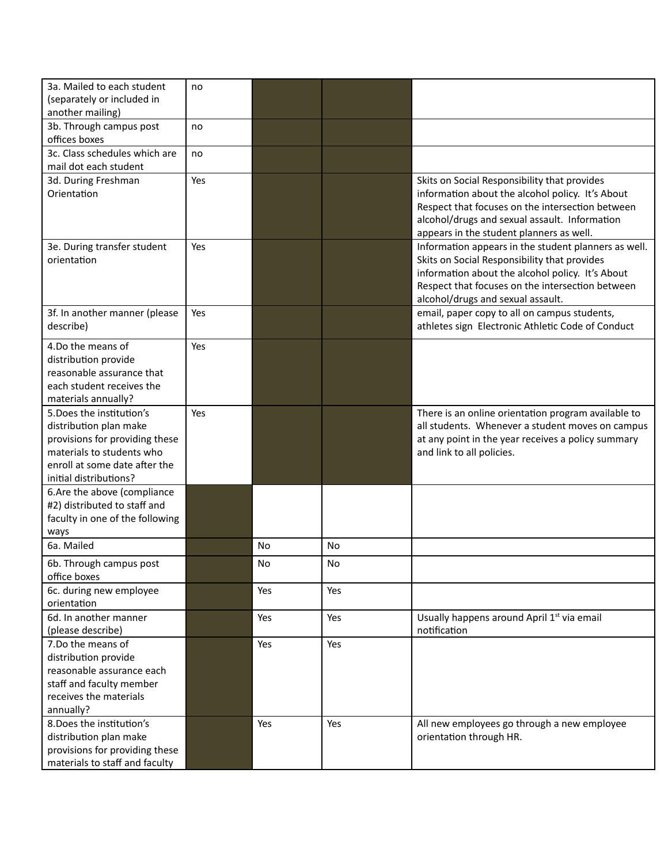| 3a. Mailed to each student                       | no  |     |           |                                                                                                         |
|--------------------------------------------------|-----|-----|-----------|---------------------------------------------------------------------------------------------------------|
| (separately or included in                       |     |     |           |                                                                                                         |
| another mailing)                                 |     |     |           |                                                                                                         |
| 3b. Through campus post<br>offices boxes         | no  |     |           |                                                                                                         |
| 3c. Class schedules which are                    | no  |     |           |                                                                                                         |
| mail dot each student                            |     |     |           |                                                                                                         |
| 3d. During Freshman                              | Yes |     |           | Skits on Social Responsibility that provides                                                            |
| Orientation                                      |     |     |           | information about the alcohol policy. It's About                                                        |
|                                                  |     |     |           | Respect that focuses on the intersection between                                                        |
|                                                  |     |     |           | alcohol/drugs and sexual assault. Information                                                           |
|                                                  | Yes |     |           | appears in the student planners as well.                                                                |
| 3e. During transfer student<br>orientation       |     |     |           | Information appears in the student planners as well.<br>Skits on Social Responsibility that provides    |
|                                                  |     |     |           | information about the alcohol policy. It's About                                                        |
|                                                  |     |     |           | Respect that focuses on the intersection between                                                        |
|                                                  |     |     |           | alcohol/drugs and sexual assault.                                                                       |
| 3f. In another manner (please                    | Yes |     |           | email, paper copy to all on campus students,                                                            |
| describe)                                        |     |     |           | athletes sign Electronic Athletic Code of Conduct                                                       |
| 4.Do the means of                                | Yes |     |           |                                                                                                         |
| distribution provide                             |     |     |           |                                                                                                         |
| reasonable assurance that                        |     |     |           |                                                                                                         |
| each student receives the                        |     |     |           |                                                                                                         |
| materials annually?<br>5. Does the institution's | Yes |     |           |                                                                                                         |
| distribution plan make                           |     |     |           | There is an online orientation program available to<br>all students. Whenever a student moves on campus |
| provisions for providing these                   |     |     |           | at any point in the year receives a policy summary                                                      |
| materials to students who                        |     |     |           | and link to all policies.                                                                               |
| enroll at some date after the                    |     |     |           |                                                                                                         |
| initial distributions?                           |     |     |           |                                                                                                         |
| 6.Are the above (compliance                      |     |     |           |                                                                                                         |
| #2) distributed to staff and                     |     |     |           |                                                                                                         |
| faculty in one of the following                  |     |     |           |                                                                                                         |
| ways<br>6a. Mailed                               |     | No  | <b>No</b> |                                                                                                         |
| 6b. Through campus post                          |     | No  | No        |                                                                                                         |
| office boxes                                     |     |     |           |                                                                                                         |
| 6c. during new employee<br>orientation           |     | Yes | Yes       |                                                                                                         |
| 6d. In another manner                            |     | Yes | Yes       | Usually happens around April 1st via email                                                              |
| (please describe)                                |     |     |           | notification                                                                                            |
| 7.Do the means of                                |     | Yes | Yes       |                                                                                                         |
| distribution provide                             |     |     |           |                                                                                                         |
| reasonable assurance each                        |     |     |           |                                                                                                         |
| staff and faculty member                         |     |     |           |                                                                                                         |
| receives the materials                           |     |     |           |                                                                                                         |
| annually?                                        |     |     |           |                                                                                                         |
| 8. Does the institution's                        |     | Yes | Yes       | All new employees go through a new employee                                                             |
| distribution plan make                           |     |     |           | orientation through HR.                                                                                 |
| provisions for providing these                   |     |     |           |                                                                                                         |
| materials to staff and faculty                   |     |     |           |                                                                                                         |